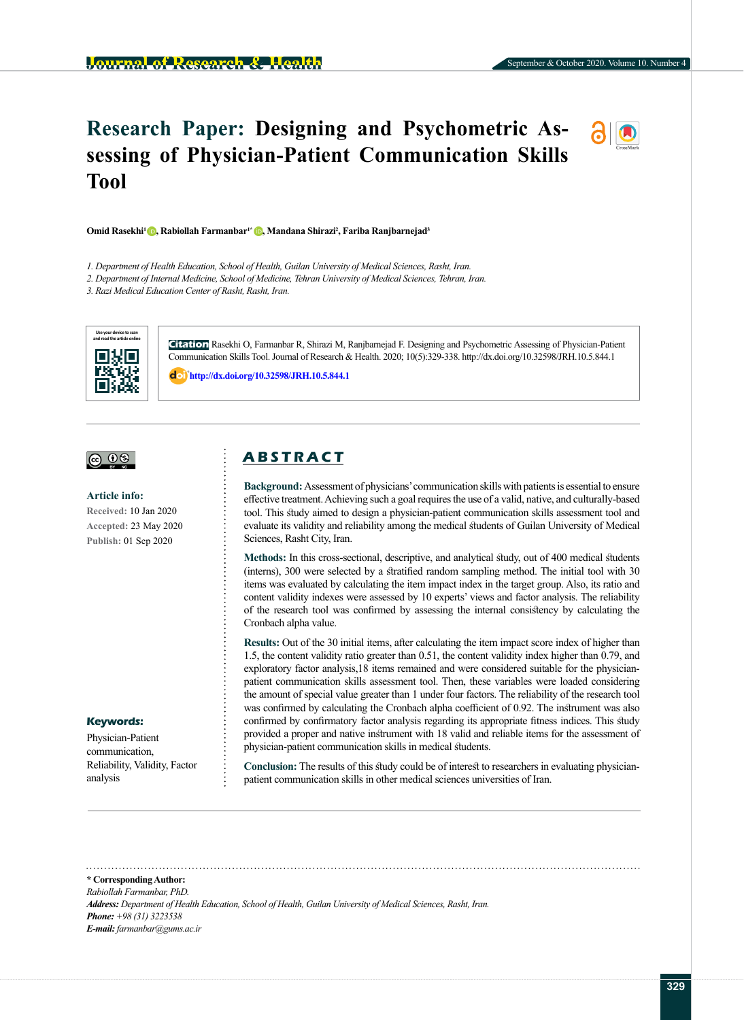# **Research Paper: Designing and Psychometric Assessing of Physician-Patient Communication Skills Tool**



**Omid Rasekhi[1 ,](https://orcid.org/0000-0002-9538-6246) Rabiollah Farmanbar1[\\* ,](https://orcid.org/0000-0002-7220-688X) Mandana Shirazi2 , Fariba Ranjbarnejad3** 

- *1. Department of Health Education, School of Health, Guilan University of Medical Sciences, Rasht, Iran.*
- 2. Department of Internal Medicine, School of Medicine, Tehran University of Medical Sciences, Tehran, Iran.
- *3. Razi Medical Education Center of Rasht, Rasht, Iran.*



**Citation** Rasekhi O, Farmanbar R, Shirazi M, Ranjbarnejad F. Designing and Psychometric Assessing of Physician-Patient Communication Skills Tool. Journal of Research & Health. 2020; 10(5):329-338. http://dx.doi.org/10.32598/JRH.10.5.844.1

: **<http://dx.doi.org/10.32598/JRH.10.5.844.1>**



#### **Article info:**

**Received:** 10 Jan 2020 **Accepted:** 23 May 2020 **Publish:** 01 Sep 2020

#### **Keywords:**

Physician-Patient communication, Reliability, Validity, Factor analysis

# **A B S T R A C T**

**Background:**Assessment of physicians' communication skills with patients is essential to ensure effective treatment. Achieving such a goal requires the use of a valid, native, and culturally-based tool. This study aimed to design a physician-patient communication skills assessment tool and evaluate its validity and reliability among the medical students of Guilan University of Medical Sciences, Rasht City, Iran.

**Methods:** In this cross-sectional, descriptive, and analytical study, out of 400 medical students (interns), 300 were selected by a stratified random sampling method. The initial tool with 30 items was evaluated by calculating the item impact index in the target group. Also, its ratio and content validity indexes were assessed by 10 experts' views and factor analysis. The reliability of the research tool was confirmed by assessing the internal consistency by calculating the Cronbach alpha value.

**Results:** Out of the 30 initial items, after calculating the item impact score index of higher than 1.5, the content validity ratio greater than 0.51, the content validity index higher than 0.79, and exploratory factor analysis,18 items remained and were considered suitable for the physicianpatient communication skills assessment tool. Then, these variables were loaded considering the amount of special value greater than 1 under four factors. The reliability of the research tool was confirmed by calculating the Cronbach alpha coefficient of 0.92. The instrument was also confirmed by confirmatory factor analysis regarding its appropriate fitness indices. This study provided a proper and native instrument with 18 valid and reliable items for the assessment of physician-patient communication skills in medical students.

**Conclusion:** The results of this study could be of interest to researchers in evaluating physicianpatient communication skills in other medical sciences universities of Iran.

**\* Corresponding Author:** *Rabiollah Farmanbar, PhD. Address: Department of Health Education, School of Health, Guilan University of Medical Sciences, Rasht, Iran. Phone: +98 (31) 3223538 E-mail: farmanbar@gums.ac.ir*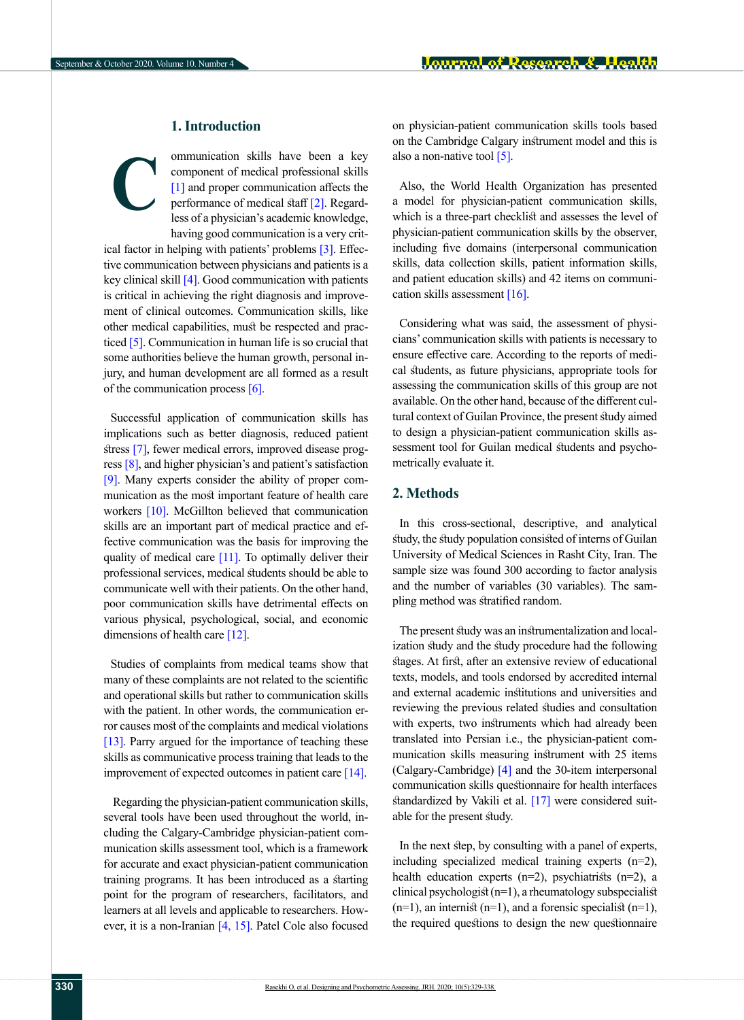## **1. Introduction**

ommunication skills have been a key component of medical professional skills [\[1\]](#page-8-0) and proper communication affects the performance of medical staff [\[2\].](#page-8-1) Regardless of a physician's academic knowledge, having good communication is a very crit-**C**

ical factor in helping with patients' problems [3]. Effective communication between physicians and patients is a key clinical skill [\[4\].](#page-8-2) Good communication with patients is critical in achieving the right diagnosis and improvement of clinical outcomes. Communication skills, like other medical capabilities, must be respected and prac-ticed [\[5\]](#page-8-3). Communication in human life is so crucial that some authorities believe the human growth, personal injury, and human development are all formed as a result of the communication process [\[6\].](#page-8-4)

Successful application of communication skills has implications such as better diagnosis, reduced patient stress [\[7\]](#page-8-5), fewer medical errors, improved disease progress [\[8\]](#page-8-6), and higher physician's and patient's satisfaction [\[9\]](#page-8-7). Many experts consider the ability of proper communication as the most important feature of health care workers [\[10\]](#page-8-8). McGillton believed that communication skills are an important part of medical practice and effective communication was the basis for improving the quality of medical care [\[11\]](#page-8-9). To optimally deliver their professional services, medical students should be able to communicate well with their patients. On the other hand, poor communication skills have detrimental effects on various physical, psychological, social, and economic dimensions of health care [\[12\]](#page-8-10).

Studies of complaints from medical teams show that many of these complaints are not related to the scientific and operational skills but rather to communication skills with the patient. In other words, the communication error causes most of the complaints and medical violations [\[13\]](#page-8-11). Parry argued for the importance of teaching these skills as communicative process training that leads to the improvement of expected outcomes in patient care  $[14]$ .

 Regarding the physician-patient communication skills, several tools have been used throughout the world, including the Calgary-Cambridge physician-patient communication skills assessment tool, which is a framework for accurate and exact physician-patient communication training programs. It has been introduced as a starting point for the program of researchers, facilitators, and learners at all levels and applicable to researchers. However, it is a non-Iranian [\[4,](#page-8-2) [15\].](#page-8-13) Patel Cole also focused on physician-patient communication skills tools based on the Cambridge Calgary instrument model and this is also a non-native tool  $[5]$ .

Also, the World Health Organization has presented a model for physician-patient communication skills, which is a three-part checklist and assesses the level of physician-patient communication skills by the observer, including five domains (interpersonal communication skills, data collection skills, patient information skills, and patient education skills) and 42 items on communication skills assessment [\[16\].](#page-8-14)

Considering what was said, the assessment of physicians' communication skills with patients is necessary to ensure effective care. According to the reports of medical students, as future physicians, appropriate tools for assessing the communication skills of this group are not available. On the other hand, because of the different cultural context of Guilan Province, the present study aimed to design a physician-patient communication skills assessment tool for Guilan medical students and psychometrically evaluate it.

## **2. Methods**

In this cross-sectional, descriptive, and analytical study, the study population consisted of interns of Guilan University of Medical Sciences in Rasht City, Iran. The sample size was found 300 according to factor analysis and the number of variables (30 variables). The sampling method was stratified random.

The present study was an instrumentalization and localization study and the study procedure had the following stages. At first, after an extensive review of educational texts, models, and tools endorsed by accredited internal and external academic institutions and universities and reviewing the previous related studies and consultation with experts, two instruments which had already been translated into Persian i.e., the physician-patient communication skills measuring instrument with 25 items (Calgary-Cambridge) [\[4\]](#page-8-2) and the 30-item interpersonal communication skills questionnaire for health interfaces standardized by Vakili et al. [\[17\]](#page-8-11) were considered suitable for the present study.

In the next step, by consulting with a panel of experts, including specialized medical training experts (n=2), health education experts  $(n=2)$ , psychiatrists  $(n=2)$ , a clinical psychologist (n=1), a rheumatology subspecialist  $(n=1)$ , an internist  $(n=1)$ , and a forensic specialist  $(n=1)$ , the required questions to design the new questionnaire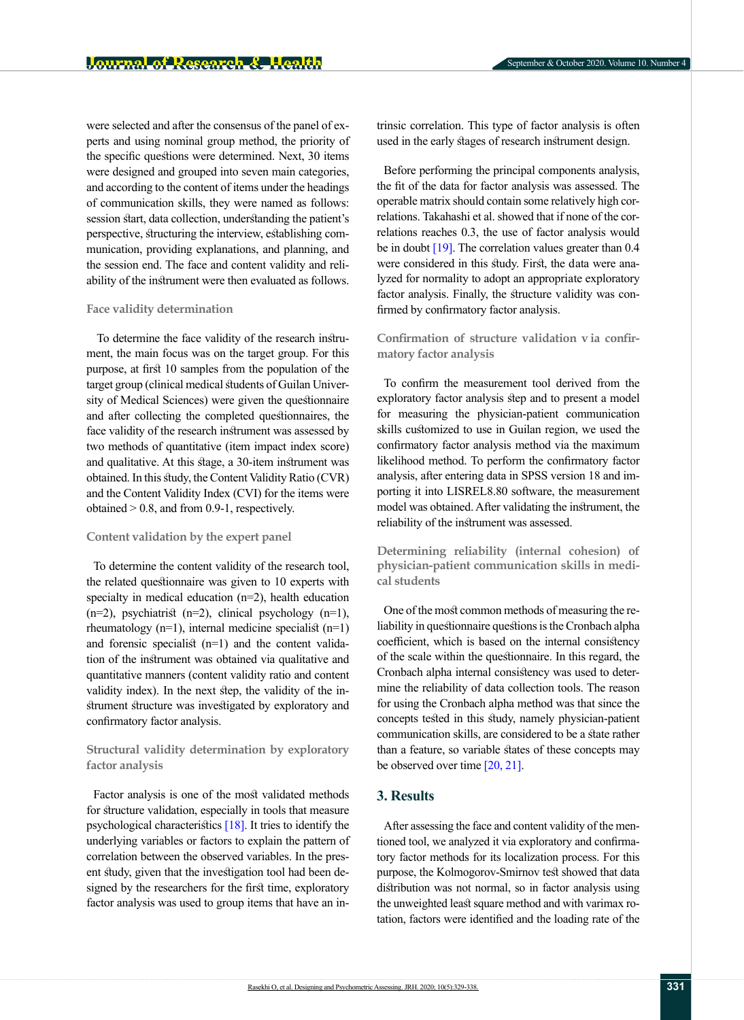were selected and after the consensus of the panel of experts and using nominal group method, the priority of the specific questions were determined. Next, 30 items were designed and grouped into seven main categories, and according to the content of items under the headings of communication skills, they were named as follows: session start, data collection, understanding the patient's perspective, structuring the interview, establishing communication, providing explanations, and planning, and the session end. The face and content validity and reliability of the instrument were then evaluated as follows.

#### **Face validity determination**

 To determine the face validity of the research instrument, the main focus was on the target group. For this purpose, at first 10 samples from the population of the target group (clinical medical students of Guilan University of Medical Sciences) were given the questionnaire and after collecting the completed questionnaires, the face validity of the research instrument was assessed by two methods of quantitative (item impact index score) and qualitative. At this stage, a 30-item instrument was obtained. In this study, the Content Validity Ratio (CVR) and the Content Validity Index (CVI) for the items were obtained > 0.8, and from 0.9-1, respectively.

#### **Content validation by the expert panel**

To determine the content validity of the research tool, the related questionnaire was given to 10 experts with specialty in medical education (n=2), health education  $(n=2)$ , psychiatrist  $(n=2)$ , clinical psychology  $(n=1)$ , rheumatology (n=1), internal medicine specialist (n=1) and forensic specialist (n=1) and the content validation of the instrument was obtained via qualitative and quantitative manners (content validity ratio and content validity index). In the next step, the validity of the instrument structure was investigated by exploratory and confirmatory factor analysis.

## **Structural validity determination by exploratory factor analysis**

Factor analysis is one of the most validated methods for structure validation, especially in tools that measure psychological characteristics [\[18\]](#page-8-15). It tries to identify the underlying variables or factors to explain the pattern of correlation between the observed variables. In the present study, given that the investigation tool had been designed by the researchers for the first time, exploratory factor analysis was used to group items that have an intrinsic correlation. This type of factor analysis is often used in the early stages of research instrument design.

Before performing the principal components analysis, the fit of the data for factor analysis was assessed. The operable matrix should contain some relatively high correlations. Takahashi et al. showed that if none of the correlations reaches 0.3, the use of factor analysis would be in doubt  $[19]$ . The correlation values greater than 0.4 were considered in this study. First, the data were analyzed for normality to adopt an appropriate exploratory factor analysis. Finally, the structure validity was confirmed by confirmatory factor analysis.

## **Confirmation of structure validation v ia confirmatory factor analysis**

To confirm the measurement tool derived from the exploratory factor analysis step and to present a model for measuring the physician-patient communication skills customized to use in Guilan region, we used the confirmatory factor analysis method via the maximum likelihood method. To perform the confirmatory factor analysis, after entering data in SPSS version 18 and importing it into LISREL8.80 software, the measurement model was obtained. After validating the instrument, the reliability of the instrument was assessed.

**Determining reliability (internal cohesion) of physician-patient communication skills in medical students**

One of the most common methods of measuring the reliability in questionnaire questions is the Cronbach alpha coefficient, which is based on the internal consistency of the scale within the questionnaire. In this regard, the Cronbach alpha internal consistency was used to determine the reliability of data collection tools. The reason for using the Cronbach alpha method was that since the concepts tested in this study, namely physician-patient communication skills, are considered to be a state rather than a feature, so variable states of these concepts may be observed over time [20, 21].

## **3. Results**

After assessing the face and content validity of the mentioned tool, we analyzed it via exploratory and confirmatory factor methods for its localization process. For this purpose, the Kolmogorov-Smirnov test showed that data distribution was not normal, so in factor analysis using the unweighted least square method and with varimax rotation, factors were identified and the loading rate of the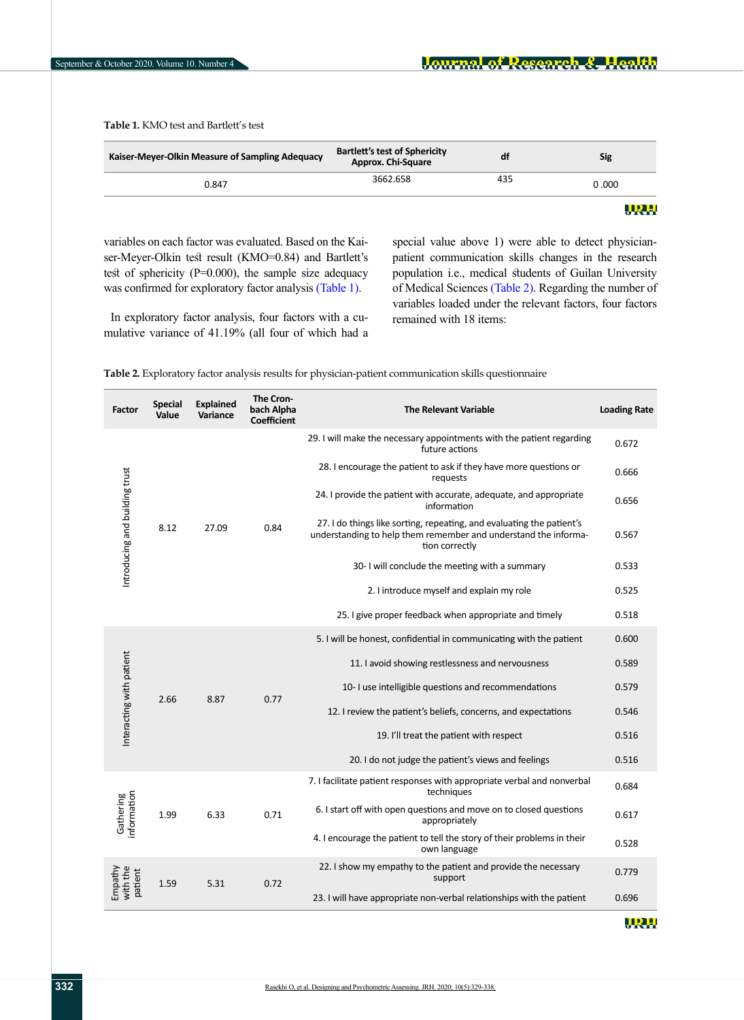**Table 1.** KMO test and Bartlett's test

| Kaiser-Meyer-Olkin Measure of Sampling Adequacy | <b>Bartlett's test of Sphericity</b><br><b>Approx. Chi-Square</b> | df  | Sig   |
|-------------------------------------------------|-------------------------------------------------------------------|-----|-------|
| 0.847                                           | 3662.658                                                          | 435 | 0.000 |

URH

variables on each factor was evaluated. Based on the Kaiser-Meyer-Olkin test result (KMO=0.84) and Bartlett's test of sphericity (P=0.000), the sample size adequacy was confirmed for exploratory factor analysis (Table 1).

In exploratory factor analysis, four factors with a cumulative variance of 41.19% (all four of which had a special value above 1) were able to detect physicianpatient communication skills changes in the research population i.e., medical students of Guilan University of Medical Sciences [\(Table 2\)](#page-3-0). Regarding the number of variables loaded under the relevant factors, four factors remained with 18 items:

<span id="page-3-0"></span>**Table 2.** Exploratory factor analysis results for physician-patient communication skills questionnaire

| Factor                           | <b>Special</b><br>Value | <b>Explained</b><br><b>Variance</b> | The Cron-<br>bach Alpha<br><b>Coefficient</b> | <b>The Relevant Variable</b>                                                                                                                               | <b>Loading Rate</b> |
|----------------------------------|-------------------------|-------------------------------------|-----------------------------------------------|------------------------------------------------------------------------------------------------------------------------------------------------------------|---------------------|
| Introducing and building trust   |                         | 27.09                               | 0.84                                          | 29. I will make the necessary appointments with the patient regarding<br>future actions                                                                    | 0.672               |
|                                  |                         |                                     |                                               | 28. I encourage the patient to ask if they have more questions or<br>requests                                                                              | 0.666               |
|                                  |                         |                                     |                                               | 24. I provide the patient with accurate, adequate, and appropriate<br>information                                                                          | 0.656               |
|                                  | 8.12                    |                                     |                                               | 27. I do things like sorting, repeating, and evaluating the patient's<br>understanding to help them remember and understand the informa-<br>tion correctly | 0.567               |
|                                  |                         |                                     |                                               | 30- I will conclude the meeting with a summary                                                                                                             | 0.533               |
|                                  |                         |                                     |                                               | 2. I introduce myself and explain my role                                                                                                                  | 0.525               |
|                                  |                         |                                     |                                               | 25. I give proper feedback when appropriate and timely                                                                                                     | 0.518               |
| Interacting with patient<br>2.66 |                         |                                     | 0.77                                          | 5. I will be honest, confidential in communicating with the patient                                                                                        | 0.600               |
|                                  |                         | 8.87                                |                                               | 11. I avoid showing restlessness and nervousness                                                                                                           | 0.589               |
|                                  |                         |                                     |                                               | 10- I use intelligible questions and recommendations                                                                                                       | 0.579               |
|                                  |                         |                                     |                                               | 12. I review the patient's beliefs, concerns, and expectations                                                                                             | 0.546               |
|                                  |                         |                                     |                                               | 19. I'll treat the patient with respect                                                                                                                    | 0.516               |
|                                  |                         |                                     |                                               | 20. I do not judge the patient's views and feelings                                                                                                        | 0.516               |
| Gathering<br>information         |                         | 6.33                                | 0.71                                          | 7. I facilitate patient responses with appropriate verbal and nonverbal<br>techniques                                                                      | 0.684               |
|                                  | 1.99                    |                                     |                                               | 6. I start off with open questions and move on to closed questions<br>appropriately                                                                        | 0.617               |
|                                  |                         |                                     |                                               | 4. I encourage the patient to tell the story of their problems in their<br>own language                                                                    | 0.528               |
| Empathy<br>with the<br>patient   | 1.59                    | 5.31                                | 0.72                                          | 22. I show my empathy to the patient and provide the necessary<br>support                                                                                  | 0.779               |
|                                  |                         |                                     |                                               | 23. I will have appropriate non-verbal relationships with the patient                                                                                      | 0.696               |

URH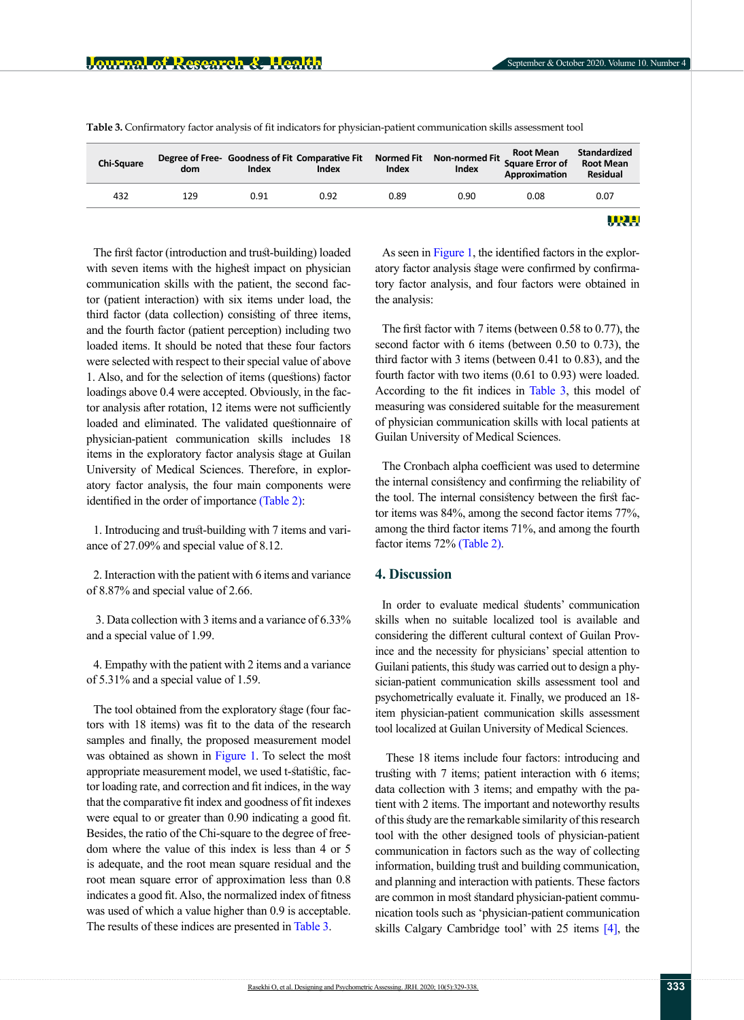| <b>Chi-Square</b> | dom | Index | Degree of Free- Goodness of Fit Comparative Fit<br>Index | Index | Normed Fit Non-normed Fit Square Error of<br>Index | <b>Root Mean</b><br>Approximation | Standardized<br><b>Root Mean</b><br><b>Residual</b> |
|-------------------|-----|-------|----------------------------------------------------------|-------|----------------------------------------------------|-----------------------------------|-----------------------------------------------------|
| 432               | 129 | 0.91  | 0.92                                                     | 0.89  | 0.90                                               | 0.08                              | 0.07                                                |
|                   |     |       |                                                          |       |                                                    |                                   | URH.                                                |

<span id="page-4-0"></span>**Table 3.** Confirmatory factor analysis of fit indicators for physician-patient communication skills assessment tool

The first factor (introduction and trust-building) loaded with seven items with the highest impact on physician communication skills with the patient, the second factor (patient interaction) with six items under load, the third factor (data collection) consisting of three items, and the fourth factor (patient perception) including two loaded items. It should be noted that these four factors were selected with respect to their special value of above 1. Also, and for the selection of items (questions) factor loadings above 0.4 were accepted. Obviously, in the factor analysis after rotation, 12 items were not sufficiently loaded and eliminated. The validated questionnaire of physician-patient communication skills includes 18 items in the exploratory factor analysis stage at Guilan University of Medical Sciences. Therefore, in exploratory factor analysis, the four main components were identified in the order of importance [\(Table 2\)](#page-3-0):

1. Introducing and trust-building with 7 items and variance of 27.09% and special value of 8.12.

2. Interaction with the patient with 6 items and variance of 8.87% and special value of 2.66.

 3. Data collection with 3 items and a variance of 6.33% and a special value of 1.99.

4. Empathy with the patient with 2 items and a variance of 5.31% and a special value of 1.59.

The tool obtained from the exploratory stage (four factors with 18 items) was fit to the data of the research samples and finally, the proposed measurement model was obtained as shown in [Figure 1.](#page-5-0) To select the most appropriate measurement model, we used t-statistic, factor loading rate, and correction and fit indices, in the way that the comparative fit index and goodness of fit indexes were equal to or greater than 0.90 indicating a good fit. Besides, the ratio of the Chi-square to the degree of freedom where the value of this index is less than 4 or 5 is adequate, and the root mean square residual and the root mean square error of approximation less than 0.8 indicates a good fit. Also, the normalized index of fitness was used of which a value higher than 0.9 is acceptable. The results of these indices are presented in [Table 3](#page-4-0).

As seen in [Figure 1,](#page-5-0) the identified factors in the exploratory factor analysis stage were confirmed by confirmatory factor analysis, and four factors were obtained in the analysis:

The first factor with 7 items (between 0.58 to 0.77), the second factor with 6 items (between 0.50 to 0.73), the third factor with 3 items (between 0.41 to 0.83), and the fourth factor with two items (0.61 to 0.93) were loaded. According to the fit indices in [Table 3,](#page-4-0) this model of measuring was considered suitable for the measurement of physician communication skills with local patients at Guilan University of Medical Sciences.

The Cronbach alpha coefficient was used to determine the internal consistency and confirming the reliability of the tool. The internal consistency between the first factor items was 84%, among the second factor items 77%, among the third factor items 71%, and among the fourth factor items 72% [\(Table 2\).](#page-3-0)

## **4. Discussion**

In order to evaluate medical students' communication skills when no suitable localized tool is available and considering the different cultural context of Guilan Province and the necessity for physicians' special attention to Guilani patients, this study was carried out to design a physician-patient communication skills assessment tool and psychometrically evaluate it. Finally, we produced an 18 item physician-patient communication skills assessment tool localized at Guilan University of Medical Sciences.

 These 18 items include four factors: introducing and trusting with 7 items; patient interaction with 6 items; data collection with 3 items; and empathy with the patient with 2 items. The important and noteworthy results of this study are the remarkable similarity of this research tool with the other designed tools of physician-patient communication in factors such as the way of collecting information, building trust and building communication, and planning and interaction with patients. These factors are common in most standard physician-patient communication tools such as 'physician-patient communication skills Calgary Cambridge tool' with 25 items [\[4\]](#page-8-2), the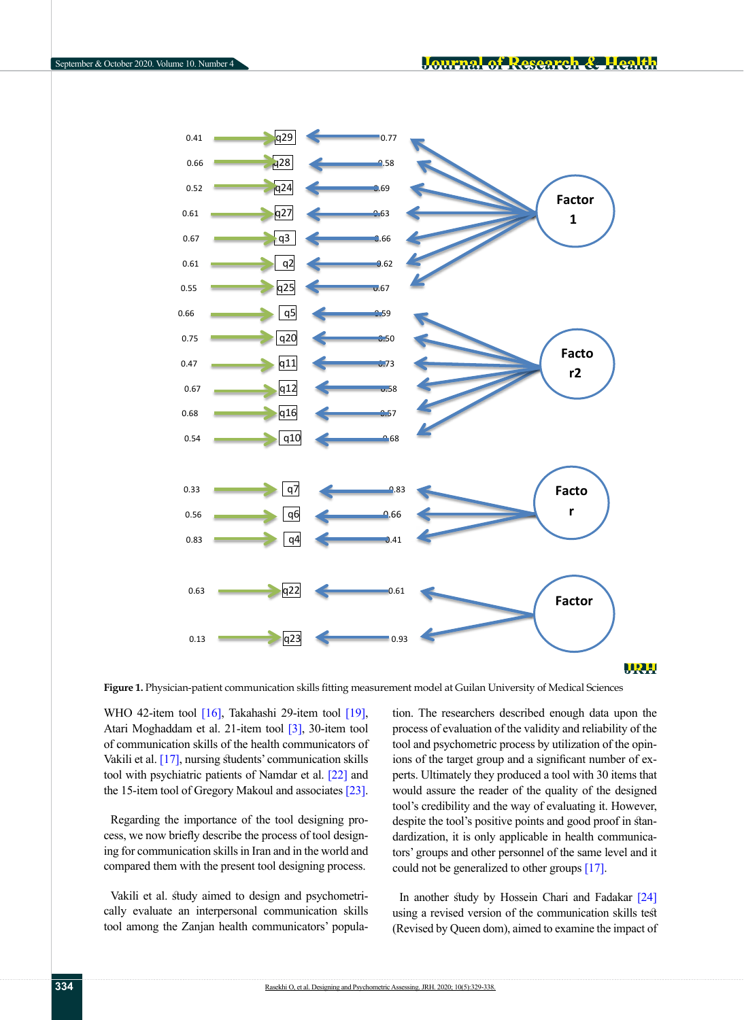

#### <u> WAS</u>

<span id="page-5-0"></span>**Figure 1.** Physician-patient communication skills fitting measurement model at Guilan University of Medical Sciences

WHO 42-item tool  $[16]$ , Takahashi 29-item tool  $[19]$ , Atari Moghaddam et al. 21-item tool [3], 30-item tool of communication skills of the health communicators of Vakili et al. [\[17\],](#page-8-17) nursing students' communication skills tool with psychiatric patients of Namdar et al. [22] and the 15-item tool of Gregory Makoul and associates [\[23\]](#page-9-0).

Regarding the importance of the tool designing process, we now briefly describe the process of tool designing for communication skills in Iran and in the world and compared them with the present tool designing process.

Vakili et al. study aimed to design and psychometrically evaluate an interpersonal communication skills tool among the Zanjan health communicators' population. The researchers described enough data upon the process of evaluation of the validity and reliability of the tool and psychometric process by utilization of the opinions of the target group and a significant number of experts. Ultimately they produced a tool with 30 items that would assure the reader of the quality of the designed tool's credibility and the way of evaluating it. However, despite the tool's positive points and good proof in standardization, it is only applicable in health communicators' groups and other personnel of the same level and it could not be generalized to other groups [\[17\]](#page-8-17).

In another study by Hossein Chari and Fadakar [24] using a revised version of the communication skills test (Revised by Queen dom), aimed to examine the impact of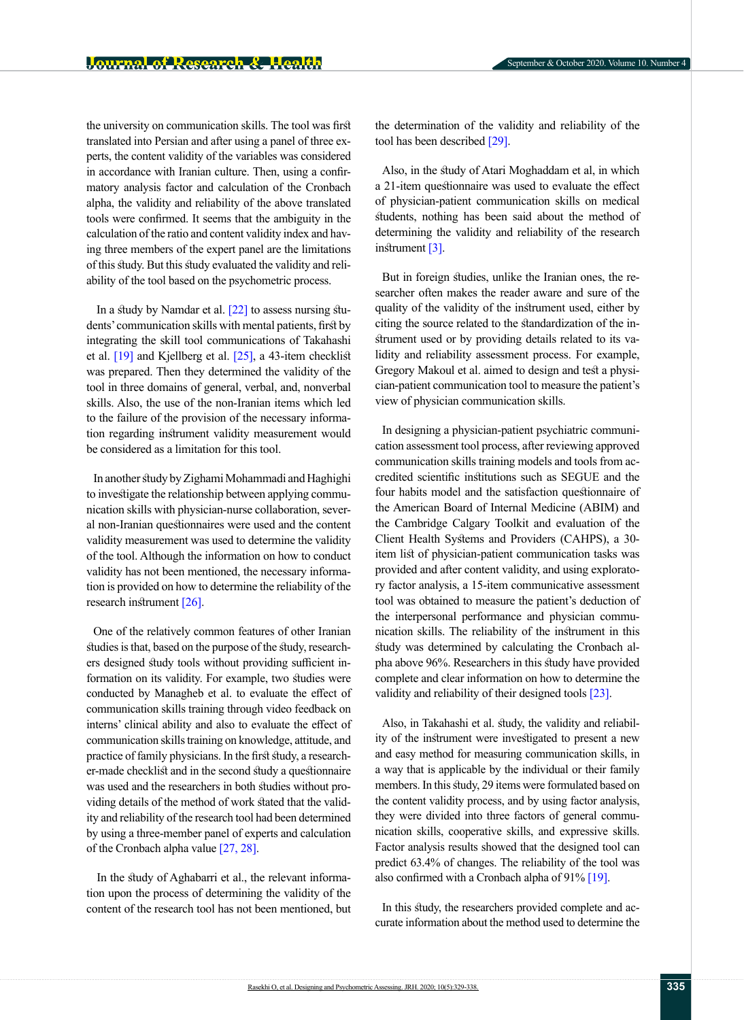the university on communication skills. The tool was first translated into Persian and after using a panel of three experts, the content validity of the variables was considered in accordance with Iranian culture. Then, using a confirmatory analysis factor and calculation of the Cronbach alpha, the validity and reliability of the above translated tools were confirmed. It seems that the ambiguity in the calculation of the ratio and content validity index and having three members of the expert panel are the limitations of this study. But this study evaluated the validity and reliability of the tool based on the psychometric process.

In a study by Namdar et al.  $[22]$  to assess nursing students' communication skills with mental patients, first by integrating the skill tool communications of Takahashi et al. [\[19\]](#page-8-16) and Kjellberg et al. [\[25\]](#page-9-2), a 43-item checklist was prepared. Then they determined the validity of the tool in three domains of general, verbal, and, nonverbal skills. Also, the use of the non-Iranian items which led to the failure of the provision of the necessary information regarding instrument validity measurement would be considered as a limitation for this tool.

In another study by Zighami Mohammadi and Haghighi to investigate the relationship between applying communication skills with physician-nurse collaboration, several non-Iranian questionnaires were used and the content validity measurement was used to determine the validity of the tool. Although the information on how to conduct validity has not been mentioned, the necessary information is provided on how to determine the reliability of the research instrument [\[26\]](#page-9-3).

One of the relatively common features of other Iranian studies is that, based on the purpose of the study, researchers designed study tools without providing sufficient information on its validity. For example, two studies were conducted by Managheb et al. to evaluate the effect of communication skills training through video feedback on interns' clinical ability and also to evaluate the effect of communication skills training on knowledge, attitude, and practice of family physicians. In the first study, a researcher-made checklist and in the second study a questionnaire was used and the researchers in both studies without providing details of the method of work stated that the validity and reliability of the research tool had been determined by using a three-member panel of experts and calculation of the Cronbach alpha value [\[27,](#page-9-4) [28\]](#page-9-5).

 In the study of Aghabarri et al., the relevant information upon the process of determining the validity of the content of the research tool has not been mentioned, but the determination of the validity and reliability of the tool has been described [\[29\]](#page-9-6).

Also, in the study of Atari Moghaddam et al, in which a 21-item questionnaire was used to evaluate the effect of physician-patient communication skills on medical students, nothing has been said about the method of determining the validity and reliability of the research instrument [3].

But in foreign studies, unlike the Iranian ones, the researcher often makes the reader aware and sure of the quality of the validity of the instrument used, either by citing the source related to the standardization of the instrument used or by providing details related to its validity and reliability assessment process. For example, Gregory Makoul et al. aimed to design and test a physician-patient communication tool to measure the patient's view of physician communication skills.

In designing a physician-patient psychiatric communication assessment tool process, after reviewing approved communication skills training models and tools from accredited scientific institutions such as SEGUE and the four habits model and the satisfaction questionnaire of the American Board of Internal Medicine (ABIM) and the Cambridge Calgary Toolkit and evaluation of the Client Health Systems and Providers (CAHPS), a 30 item list of physician-patient communication tasks was provided and after content validity, and using exploratory factor analysis, a 15-item communicative assessment tool was obtained to measure the patient's deduction of the interpersonal performance and physician communication skills. The reliability of the instrument in this study was determined by calculating the Cronbach alpha above 96%. Researchers in this study have provided complete and clear information on how to determine the validity and reliability of their designed tools [\[23\]](#page-9-0).

Also, in Takahashi et al. study, the validity and reliability of the instrument were investigated to present a new and easy method for measuring communication skills, in a way that is applicable by the individual or their family members. In this study, 29 items were formulated based on the content validity process, and by using factor analysis, they were divided into three factors of general communication skills, cooperative skills, and expressive skills. Factor analysis results showed that the designed tool can predict 63.4% of changes. The reliability of the tool was also confirmed with a Cronbach alpha of 91% [\[19\].](#page-8-16)

In this study, the researchers provided complete and accurate information about the method used to determine the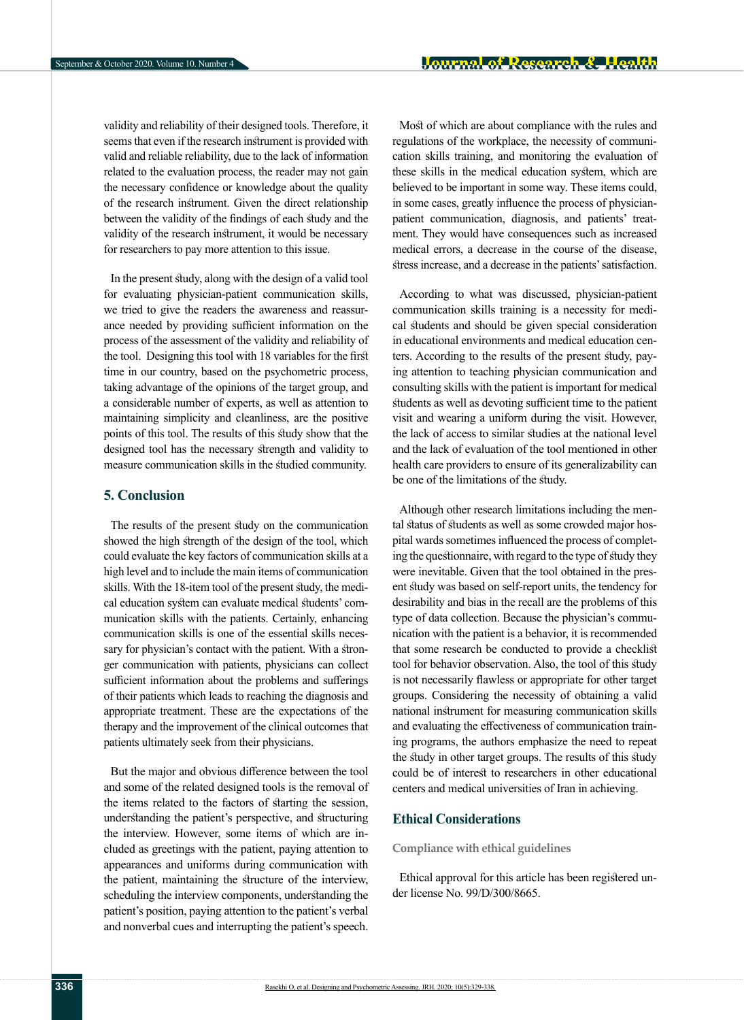validity and reliability of their designed tools. Therefore, it seems that even if the research instrument is provided with valid and reliable reliability, due to the lack of information related to the evaluation process, the reader may not gain the necessary confidence or knowledge about the quality of the research instrument. Given the direct relationship between the validity of the findings of each study and the validity of the research instrument, it would be necessary for researchers to pay more attention to this issue.

In the present study, along with the design of a valid tool for evaluating physician-patient communication skills, we tried to give the readers the awareness and reassurance needed by providing sufficient information on the process of the assessment of the validity and reliability of the tool. Designing this tool with 18 variables for the first time in our country, based on the psychometric process, taking advantage of the opinions of the target group, and a considerable number of experts, as well as attention to maintaining simplicity and cleanliness, are the positive points of this tool. The results of this study show that the designed tool has the necessary strength and validity to measure communication skills in the studied community.

## **5. Conclusion**

The results of the present study on the communication showed the high strength of the design of the tool, which could evaluate the key factors of communication skills at a high level and to include the main items of communication skills. With the 18-item tool of the present study, the medical education system can evaluate medical students' communication skills with the patients. Certainly, enhancing communication skills is one of the essential skills necessary for physician's contact with the patient. With a stronger communication with patients, physicians can collect sufficient information about the problems and sufferings of their patients which leads to reaching the diagnosis and appropriate treatment. These are the expectations of the therapy and the improvement of the clinical outcomes that patients ultimately seek from their physicians.

But the major and obvious difference between the tool and some of the related designed tools is the removal of the items related to the factors of starting the session, understanding the patient's perspective, and structuring the interview. However, some items of which are included as greetings with the patient, paying attention to appearances and uniforms during communication with the patient, maintaining the structure of the interview, scheduling the interview components, understanding the patient's position, paying attention to the patient's verbal and nonverbal cues and interrupting the patient's speech.

Most of which are about compliance with the rules and regulations of the workplace, the necessity of communication skills training, and monitoring the evaluation of these skills in the medical education system, which are believed to be important in some way. These items could, in some cases, greatly influence the process of physicianpatient communication, diagnosis, and patients' treatment. They would have consequences such as increased medical errors, a decrease in the course of the disease, stress increase, and a decrease in the patients' satisfaction.

According to what was discussed, physician-patient communication skills training is a necessity for medical students and should be given special consideration in educational environments and medical education centers. According to the results of the present study, paying attention to teaching physician communication and consulting skills with the patient is important for medical students as well as devoting sufficient time to the patient visit and wearing a uniform during the visit. However, the lack of access to similar studies at the national level and the lack of evaluation of the tool mentioned in other health care providers to ensure of its generalizability can be one of the limitations of the study.

Although other research limitations including the mental status of students as well as some crowded major hospital wards sometimes influenced the process of completing the questionnaire, with regard to the type of study they were inevitable. Given that the tool obtained in the present study was based on self-report units, the tendency for desirability and bias in the recall are the problems of this type of data collection. Because the physician's communication with the patient is a behavior, it is recommended that some research be conducted to provide a checklist tool for behavior observation. Also, the tool of this study is not necessarily flawless or appropriate for other target groups. Considering the necessity of obtaining a valid national instrument for measuring communication skills and evaluating the effectiveness of communication training programs, the authors emphasize the need to repeat the study in other target groups. The results of this study could be of interest to researchers in other educational centers and medical universities of Iran in achieving.

## **Ethical Considerations**

**Compliance with ethical guidelines**

Ethical approval for this article has been registered under license No. 99/D/300/8665.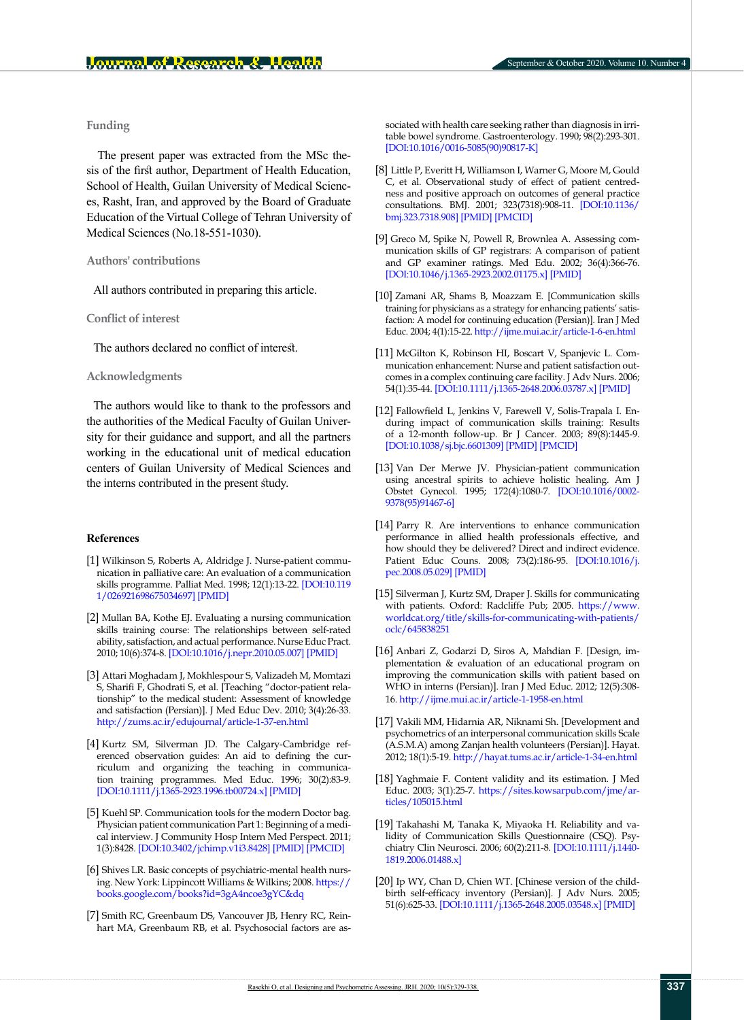### **Funding**

 The present paper was extracted from the MSc thesis of the first author, Department of Health Education, School of Health, Guilan University of Medical Sciences, Rasht, Iran, and approved by the Board of Graduate Education of the Virtual College of Tehran University of Medical Sciences (No.18-551-1030).

#### **Authors' contributions**

All authors contributed in preparing this article.

**Conflict of interest**

The authors declared no conflict of interest.

#### **Acknowledgments**

The authors would like to thank to the professors and the authorities of the Medical Faculty of Guilan University for their guidance and support, and all the partners working in the educational unit of medical education centers of Guilan University of Medical Sciences and the interns contributed in the present study.

#### **References**

- <span id="page-8-0"></span>[1] Wilkinson S, Roberts A, Aldridge J. Nurse-patient communication in palliative care: An evaluation of a communication skills programme. Palliat Med. 1998; 12(1):13-22. [[DOI:10.119](https://doi.org/10.1191/026921698675034697) [1/026921698675034697](https://doi.org/10.1191/026921698675034697)] [\[PMID](https://www.ncbi.nlm.nih.gov/pubmed/9616455)]
- <span id="page-8-1"></span>[2] Mullan BA, Kothe EJ. Evaluating a nursing communication skills training course: The relationships between self-rated ability, satisfaction, and actual performance. Nurse Educ Pract. 2010; 10(6):374-8. [[DOI:10.1016/j.nepr.2010.05.007](https://doi.org/10.1016/j.nepr.2010.05.007)] [[PMID\]](https://www.ncbi.nlm.nih.gov/pubmed/20541974)
- [3] Attari Moghadam J, Mokhlespour S, Valizadeh M, Momtazi S, Sharifi F, Ghodrati S, et al. [Teaching "doctor-patient relationship" to the medical student: Assessment of knowledge and satisfaction (Persian)]. J Med Educ Dev. 2010; 3(4):26-33. <http://zums.ac.ir/edujournal/article-1-37-en.html>
- <span id="page-8-2"></span>[4] Kurtz SM, Silverman JD. The Calgary-Cambridge referenced observation guides: An aid to defining the curriculum and organizing the teaching in communication training programmes. Med Educ. 1996; 30(2):83-9. [\[DOI:10.1111/j.1365-2923.1996.tb00724.x](https://doi.org/10.1111/j.1365-2923.1996.tb00724.x)] [\[PMID](https://www.ncbi.nlm.nih.gov/pubmed/8736242)]
- <span id="page-8-3"></span>[5] Kuehl SP. Communication tools for the modern Doctor bag. Physician patient communication Part 1: Beginning of a medical interview. J Community Hosp Intern Med Perspect. 2011; 1(3):8428. [[DOI:10.3402/jchimp.v1i3.8428](https://doi.org/10.3402/jchimp.v1i3.8428)] [\[PMID\]](https://www.ncbi.nlm.nih.gov/pubmed/23882333) [[PMCID\]](http://www.ncbi.nlm.nih.gov/pmc/articles/PMC3714039)
- <span id="page-8-4"></span>[6] Shives LR. Basic concepts of psychiatric-mental health nursing. New York: Lippincott Williams & Wilkins; 2008. [https://](https://books.google.com/books?id=3gA4ncoe3gYC&dq) [books.google.com/books?id=3gA4ncoe3gYC&dq](https://books.google.com/books?id=3gA4ncoe3gYC&dq)
- <span id="page-8-5"></span>[7] Smith RC, Greenbaum DS, Vancouver JB, Henry RC, Reinhart MA, Greenbaum RB, et al. Psychosocial factors are as-

sociated with health care seeking rather than diagnosis in irritable bowel syndrome. Gastroenterology. 1990; 98(2):293-301. [[DOI:10.1016/0016-5085\(90\)90817-K\]](https://doi.org/10.1016/0016-5085(90)90817-K)

- <span id="page-8-6"></span>[8] Little P, Everitt H, Williamson I, Warner G, Moore M, Gould C, et al. Observational study of effect of patient centredness and positive approach on outcomes of general practice consultations. BMJ. 2001; 323(7318):908-11. [\[DOI:10.1136/](https://doi.org/10.1136/bmj.323.7318.908) [bmj.323.7318.908](https://doi.org/10.1136/bmj.323.7318.908)] [\[PMID\]](https://www.ncbi.nlm.nih.gov/pubmed/11668137) [[PMCID](http://www.ncbi.nlm.nih.gov/pmc/articles/PMC58543)]
- <span id="page-8-7"></span>[9] Greco M, Spike N, Powell R, Brownlea A. Assessing communication skills of GP registrars: A comparison of patient and GP examiner ratings. Med Edu. 2002; 36(4):366-76. [[DOI:10.1046/j.1365-2923.2002.01175.x](https://doi.org/10.1046/j.1365-2923.2002.01175.x)] [\[PMID](https://www.ncbi.nlm.nih.gov/pubmed/11940178)]
- <span id="page-8-8"></span>[10] Zamani AR, Shams B, Moazzam E. [Communication skills training for physicians as a strategy for enhancing patients' satisfaction: A model for continuing education (Persian)]. Iran J Med Educ. 2004; 4(1):15-22.<http://ijme.mui.ac.ir/article-1-6-en.html>
- <span id="page-8-9"></span>[11] McGilton K, Robinson HI, Boscart V, Spanjevic L. Communication enhancement: Nurse and patient satisfaction outcomes in a complex continuing care facility. J Adv Nurs. 2006; 54(1):35-44. [[DOI:10.1111/j.1365-2648.2006.03787.x\]](https://doi.org/10.1111/j.1365-2648.2006.03787.x) [[PMID](https://www.ncbi.nlm.nih.gov/pubmed/16553689)]
- <span id="page-8-10"></span>[12] Fallowfield L, Jenkins V, Farewell V, Solis-Trapala I. Enduring impact of communication skills training: Results of a 12-month follow-up. Br J Cancer. 2003; 89(8):1445-9. [[DOI:10.1038/sj.bjc.6601309](https://doi.org/10.1038/sj.bjc.6601309)] [\[PMID\]](https://www.ncbi.nlm.nih.gov/pubmed/14562015) [[PMCID](http://www.ncbi.nlm.nih.gov/pmc/articles/PMC2394345)]
- <span id="page-8-11"></span>[13] Van Der Merwe JV. Physician-patient communication using ancestral spirits to achieve holistic healing. Am J Obstet Gynecol. 1995; 172(4):1080-7. [\[DOI:10.1016/0002-](https://doi.org/10.1016/0002-9378(95)91467-6) [9378\(95\)91467-6](https://doi.org/10.1016/0002-9378(95)91467-6)]
- <span id="page-8-12"></span>[14] Parry R. Are interventions to enhance communication performance in allied health professionals effective, and how should they be delivered? Direct and indirect evidence. Patient Educ Couns. 2008; 73(2):186-95. [\[DOI:10.1016/j.](https://doi.org/10.1016/j.pec.2008.05.029) [pec.2008.05.029](https://doi.org/10.1016/j.pec.2008.05.029)] [\[PMID\]](https://www.ncbi.nlm.nih.gov/pubmed/18768287)
- <span id="page-8-13"></span>[15] Silverman J, Kurtz SM, Draper J. Skills for communicating with patients. Oxford: Radcliffe Pub; 2005. [https://www.](https://www.worldcat.org/title/skills-for-communicating-with-patients/oclc/645838251) [worldcat.org/title/skills-for-communicating-with-patients/](https://www.worldcat.org/title/skills-for-communicating-with-patients/oclc/645838251) [oclc/645838251](https://www.worldcat.org/title/skills-for-communicating-with-patients/oclc/645838251)
- <span id="page-8-14"></span>[16] Anbari Z, Godarzi D, Siros A, Mahdian F. [Design, implementation & evaluation of an educational program on improving the communication skills with patient based on WHO in interns (Persian)]. Iran J Med Educ. 2012; 12(5):308- 16. <http://ijme.mui.ac.ir/article-1-1958-en.html>
- <span id="page-8-17"></span>[17] Vakili MM, Hidarnia AR, Niknami Sh. [Development and psychometrics of an interpersonal communication skills Scale (A.S.M.A) among Zanjan health volunteers (Persian)]. Hayat. 2012; 18(1):5-19. <http://hayat.tums.ac.ir/article-1-34-en.html>
- <span id="page-8-15"></span>[18] Yaghmaie F. Content validity and its estimation. J Med Educ. 2003; 3(1):25-7. [https://sites.kowsarpub.com/jme/ar](https://sites.kowsarpub.com/jme/articles/105015.html)[ticles/105015.html](https://sites.kowsarpub.com/jme/articles/105015.html)
- <span id="page-8-16"></span>[19] Takahashi M, Tanaka K, Miyaoka H. Reliability and validity of Communication Skills Questionnaire (CSQ). Psychiatry Clin Neurosci. 2006; 60(2):211-8. [\[DOI:10.1111/j.1440-](https://doi.org/10.1111/j.1440-1819.2006.01488.x) [1819.2006.01488.x\]](https://doi.org/10.1111/j.1440-1819.2006.01488.x)
- [20] Ip WY, Chan D, Chien WT. [Chinese version of the childbirth self-efficacy inventory (Persian)]. J Adv Nurs. 2005; 51(6):625-33. [[DOI:10.1111/j.1365-2648.2005.03548.x](https://doi.org/10.1111/j.1365-2648.2005.03548.x)] [\[PMID](https://www.ncbi.nlm.nih.gov/pubmed/16129013)]